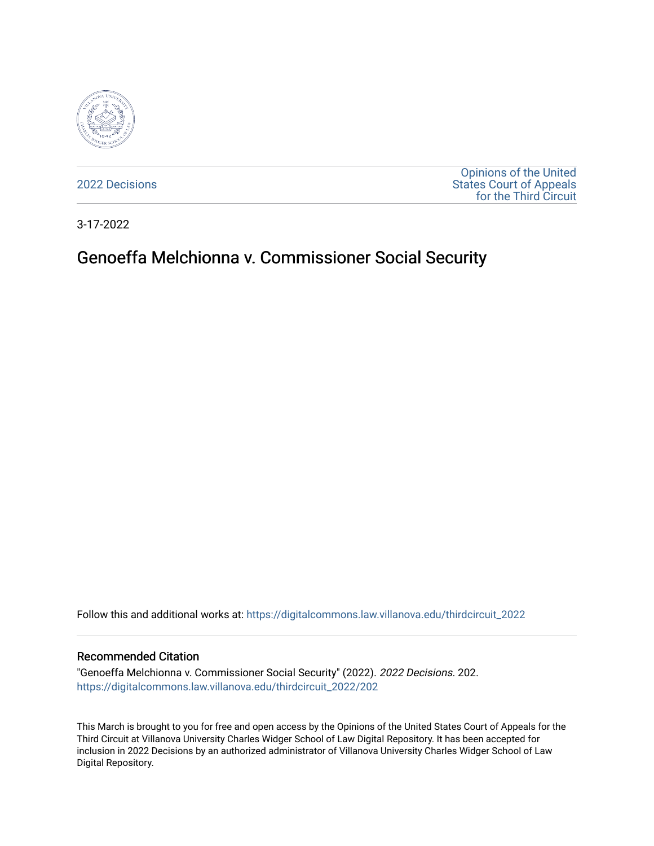

[2022 Decisions](https://digitalcommons.law.villanova.edu/thirdcircuit_2022)

[Opinions of the United](https://digitalcommons.law.villanova.edu/thirdcircuit)  [States Court of Appeals](https://digitalcommons.law.villanova.edu/thirdcircuit)  [for the Third Circuit](https://digitalcommons.law.villanova.edu/thirdcircuit) 

3-17-2022

# Genoeffa Melchionna v. Commissioner Social Security

Follow this and additional works at: [https://digitalcommons.law.villanova.edu/thirdcircuit\\_2022](https://digitalcommons.law.villanova.edu/thirdcircuit_2022?utm_source=digitalcommons.law.villanova.edu%2Fthirdcircuit_2022%2F202&utm_medium=PDF&utm_campaign=PDFCoverPages) 

#### Recommended Citation

"Genoeffa Melchionna v. Commissioner Social Security" (2022). 2022 Decisions. 202. [https://digitalcommons.law.villanova.edu/thirdcircuit\\_2022/202](https://digitalcommons.law.villanova.edu/thirdcircuit_2022/202?utm_source=digitalcommons.law.villanova.edu%2Fthirdcircuit_2022%2F202&utm_medium=PDF&utm_campaign=PDFCoverPages)

This March is brought to you for free and open access by the Opinions of the United States Court of Appeals for the Third Circuit at Villanova University Charles Widger School of Law Digital Repository. It has been accepted for inclusion in 2022 Decisions by an authorized administrator of Villanova University Charles Widger School of Law Digital Repository.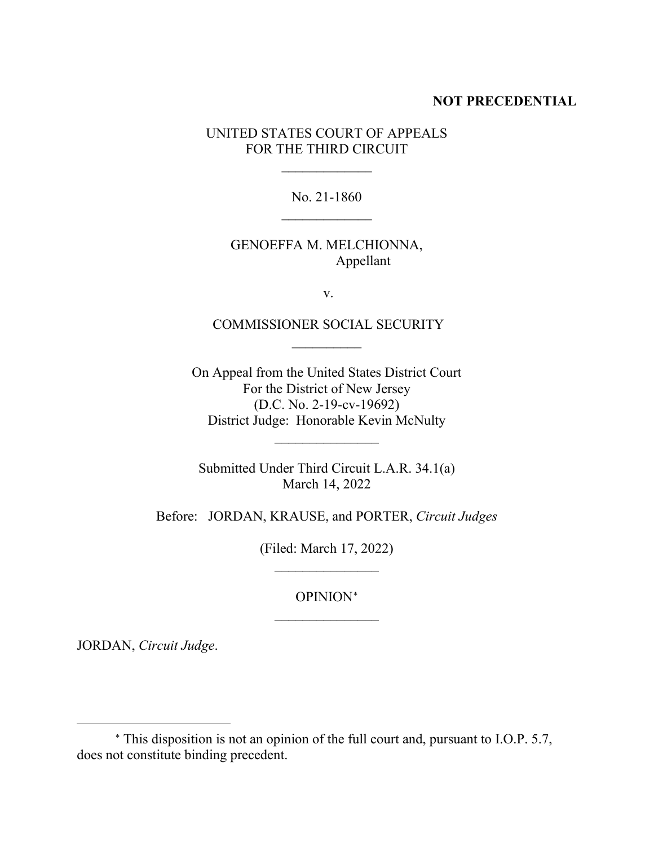#### **NOT PRECEDENTIAL**

UNITED STATES COURT OF APPEALS FOR THE THIRD CIRCUIT

 $\frac{1}{2}$ 

No. 21-1860

### GENOEFFA M. MELCHIONNA, Appellant

v.

COMMISSIONER SOCIAL SECURITY  $\frac{1}{2}$ 

On Appeal from the United States District Court For the District of New Jersey (D.C. No. 2-19-cv-19692) District Judge: Honorable Kevin McNulty

 $\frac{1}{2}$ 

Submitted Under Third Circuit L.A.R. 34.1(a) March 14, 2022

Before: JORDAN, KRAUSE, and PORTER, *Circuit Judges*

(Filed: March 17, 2022)  $\frac{1}{2}$ 

> OPINION[∗](#page-1-0)  $\overline{\phantom{a}}$  , where  $\overline{\phantom{a}}$

JORDAN, *Circuit Judge*.

<span id="page-1-0"></span><sup>∗</sup> This disposition is not an opinion of the full court and, pursuant to I.O.P. 5.7, does not constitute binding precedent.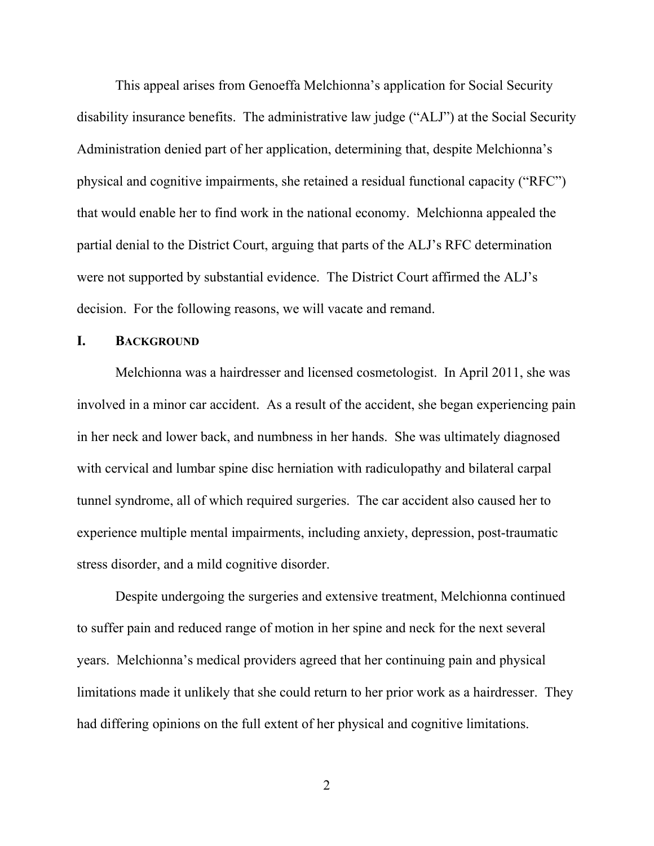This appeal arises from Genoeffa Melchionna's application for Social Security disability insurance benefits. The administrative law judge ("ALJ") at the Social Security Administration denied part of her application, determining that, despite Melchionna's physical and cognitive impairments, she retained a residual functional capacity ("RFC") that would enable her to find work in the national economy. Melchionna appealed the partial denial to the District Court, arguing that parts of the ALJ's RFC determination were not supported by substantial evidence. The District Court affirmed the ALJ's decision. For the following reasons, we will vacate and remand.

#### **I. BACKGROUND**

Melchionna was a hairdresser and licensed cosmetologist. In April 2011, she was involved in a minor car accident. As a result of the accident, she began experiencing pain in her neck and lower back, and numbness in her hands. She was ultimately diagnosed with cervical and lumbar spine disc herniation with radiculopathy and bilateral carpal tunnel syndrome, all of which required surgeries. The car accident also caused her to experience multiple mental impairments, including anxiety, depression, post-traumatic stress disorder, and a mild cognitive disorder.

Despite undergoing the surgeries and extensive treatment, Melchionna continued to suffer pain and reduced range of motion in her spine and neck for the next several years. Melchionna's medical providers agreed that her continuing pain and physical limitations made it unlikely that she could return to her prior work as a hairdresser. They had differing opinions on the full extent of her physical and cognitive limitations.

2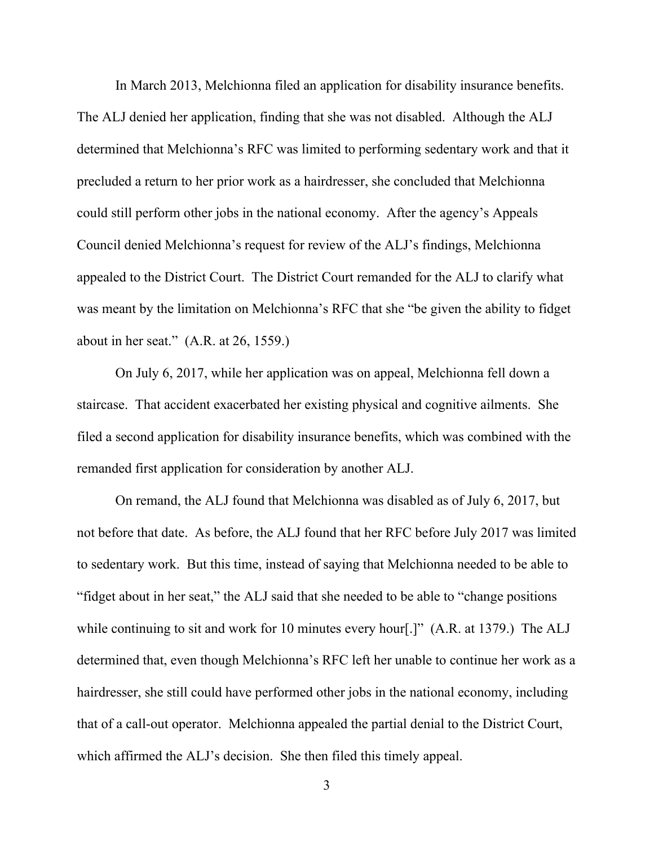In March 2013, Melchionna filed an application for disability insurance benefits. The ALJ denied her application, finding that she was not disabled. Although the ALJ determined that Melchionna's RFC was limited to performing sedentary work and that it precluded a return to her prior work as a hairdresser, she concluded that Melchionna could still perform other jobs in the national economy. After the agency's Appeals Council denied Melchionna's request for review of the ALJ's findings, Melchionna appealed to the District Court. The District Court remanded for the ALJ to clarify what was meant by the limitation on Melchionna's RFC that she "be given the ability to fidget about in her seat." (A.R. at 26, 1559.)

On July 6, 2017, while her application was on appeal, Melchionna fell down a staircase. That accident exacerbated her existing physical and cognitive ailments. She filed a second application for disability insurance benefits, which was combined with the remanded first application for consideration by another ALJ.

On remand, the ALJ found that Melchionna was disabled as of July 6, 2017, but not before that date. As before, the ALJ found that her RFC before July 2017 was limited to sedentary work. But this time, instead of saying that Melchionna needed to be able to "fidget about in her seat," the ALJ said that she needed to be able to "change positions while continuing to sit and work for 10 minutes every hour<sup>[1]</sup> (A.R. at 1379.) The ALJ determined that, even though Melchionna's RFC left her unable to continue her work as a hairdresser, she still could have performed other jobs in the national economy, including that of a call-out operator. Melchionna appealed the partial denial to the District Court, which affirmed the ALJ's decision. She then filed this timely appeal.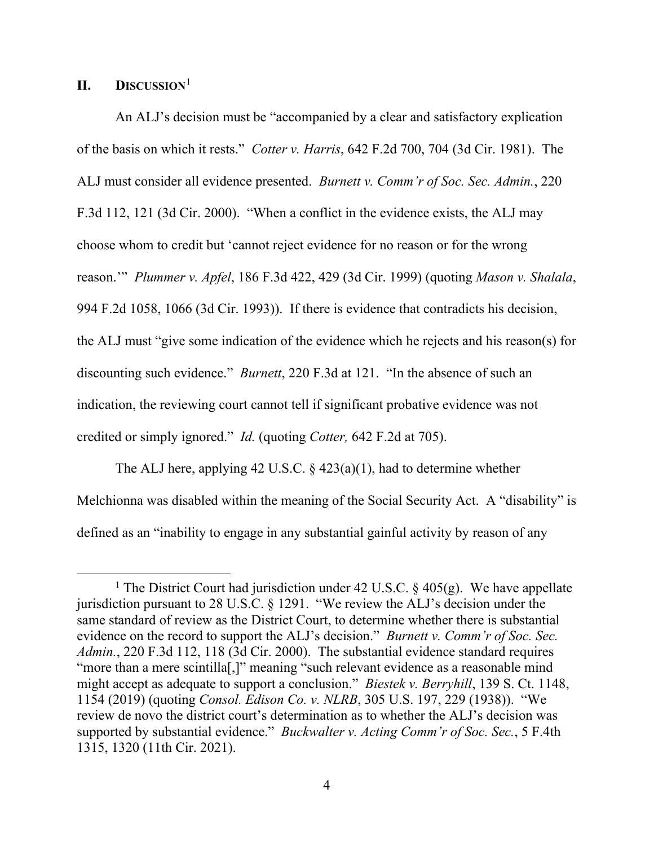### **II. DISCUSSION**[1](#page-4-0)

An ALJ's decision must be "accompanied by a clear and satisfactory explication of the basis on which it rests." *Cotter v. Harris*, 642 F.2d 700, 704 (3d Cir. 1981). The ALJ must consider all evidence presented. *Burnett v. Comm'r of Soc. Sec. Admin.*, 220 F.3d 112, 121 (3d Cir. 2000). "When a conflict in the evidence exists, the ALJ may choose whom to credit but 'cannot reject evidence for no reason or for the wrong reason.'" *Plummer v. Apfel*, 186 F.3d 422, 429 (3d Cir. 1999) (quoting *Mason v. Shalala*, 994 F.2d 1058, 1066 (3d Cir. 1993)). If there is evidence that contradicts his decision, the ALJ must "give some indication of the evidence which he rejects and his reason(s) for discounting such evidence." *Burnett*, 220 F.3d at 121. "In the absence of such an indication, the reviewing court cannot tell if significant probative evidence was not credited or simply ignored." *Id.* (quoting *Cotter,* 642 F.2d at 705).

The ALJ here, applying 42 U.S.C.  $\S$  423(a)(1), had to determine whether Melchionna was disabled within the meaning of the Social Security Act. A "disability" is defined as an "inability to engage in any substantial gainful activity by reason of any

<span id="page-4-0"></span><sup>&</sup>lt;sup>1</sup> The District Court had jurisdiction under 42 U.S.C. § 405(g). We have appellate jurisdiction pursuant to 28 U.S.C. § 1291. "We review the ALJ's decision under the same standard of review as the District Court, to determine whether there is substantial evidence on the record to support the ALJ's decision." *Burnett v. Comm'r of Soc. Sec. Admin.*, 220 F.3d 112, 118 (3d Cir. 2000). The substantial evidence standard requires "more than a mere scintilla<sup>[1]</sup>," meaning "such relevant evidence as a reasonable mind might accept as adequate to support a conclusion." *Biestek v. Berryhill*, 139 S. Ct. 1148, 1154 (2019) (quoting *Consol. Edison Co. v. NLRB*, 305 U.S. 197, 229 (1938)). "We review de novo the district court's determination as to whether the ALJ's decision was supported by substantial evidence." *Buckwalter v. Acting Comm'r of Soc. Sec.*, 5 F.4th 1315, 1320 (11th Cir. 2021).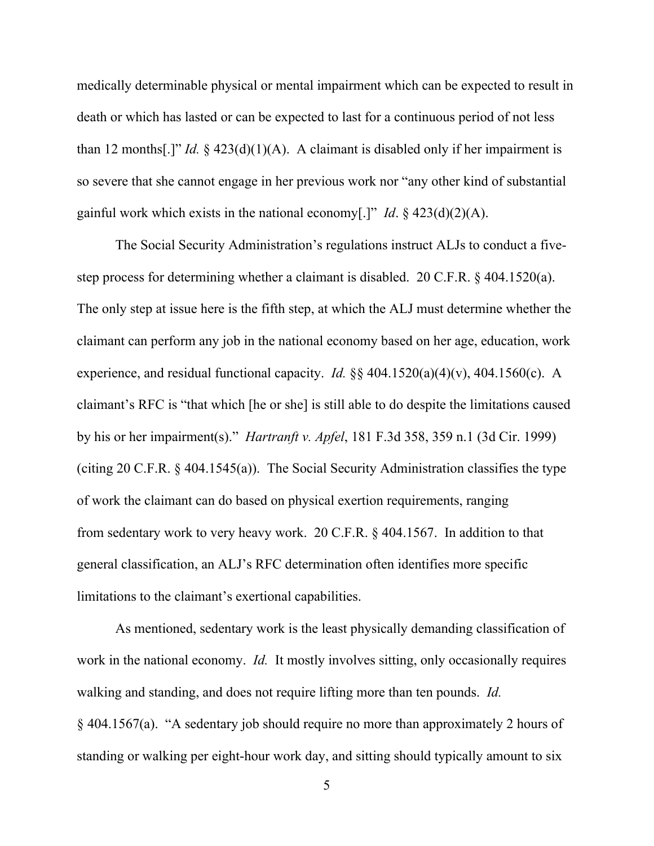medically determinable physical or mental impairment which can be expected to result in death or which has lasted or can be expected to last for a continuous period of not less than 12 months[.]" *Id.*  $\frac{2}{3}$  423(d)(1)(A). A claimant is disabled only if her impairment is so severe that she cannot engage in her previous work nor "any other kind of substantial gainful work which exists in the national economy[.]" *Id*. § 423(d)(2)(A).

The Social Security Administration's regulations instruct ALJs to conduct a fivestep process for determining whether a claimant is disabled. 20 C.F.R. § 404.1520(a). The only step at issue here is the fifth step, at which the ALJ must determine whether the claimant can perform any job in the national economy based on her age, education, work experience, and residual functional capacity. *Id.* §§ 404.1520(a)(4)(v), 404.1560(c). A claimant's RFC is "that which [he or she] is still able to do despite the limitations caused by his or her impairment(s)." *Hartranft v. Apfel*, 181 F.3d 358, 359 n.1 (3d Cir. 1999) (citing 20 C.F.R. § 404.1545(a)). The Social Security Administration classifies the type of work the claimant can do based on physical exertion requirements, ranging from sedentary work to very heavy work. 20 C.F.R. § 404.1567. In addition to that general classification, an ALJ's RFC determination often identifies more specific limitations to the claimant's exertional capabilities.

As mentioned, sedentary work is the least physically demanding classification of work in the national economy. *Id.* It mostly involves sitting, only occasionally requires walking and standing, and does not require lifting more than ten pounds. *Id.* § 404.1567(a). "A sedentary job should require no more than approximately 2 hours of standing or walking per eight-hour work day, and sitting should typically amount to six

5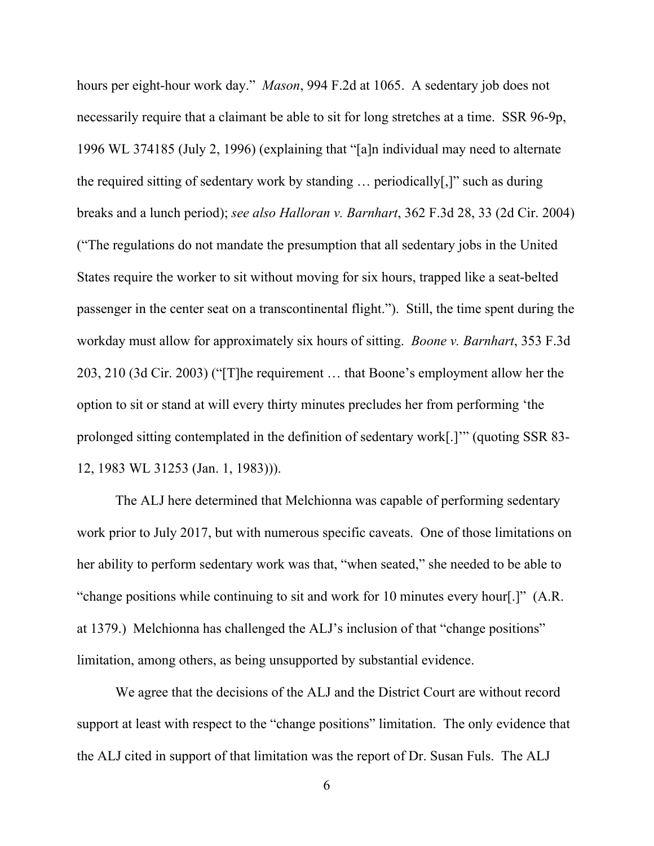hours per eight-hour work day." *Mason*, 994 F.2d at 1065. A sedentary job does not necessarily require that a claimant be able to sit for long stretches at a time. SSR 96-9p, 1996 WL 374185 (July 2, 1996) (explaining that "[a]n individual may need to alternate the required sitting of sedentary work by standing … periodically[,]" such as during breaks and a lunch period); *see also Halloran v. Barnhart*, 362 F.3d 28, 33 (2d Cir. 2004) ("The regulations do not mandate the presumption that all sedentary jobs in the United States require the worker to sit without moving for six hours, trapped like a seat-belted passenger in the center seat on a transcontinental flight."). Still, the time spent during the workday must allow for approximately six hours of sitting. *Boone v. Barnhart*, 353 F.3d 203, 210 (3d Cir. 2003) ("[T]he requirement … that Boone's employment allow her the option to sit or stand at will every thirty minutes precludes her from performing 'the prolonged sitting contemplated in the definition of sedentary work[.]'" (quoting SSR 83- 12, 1983 WL 31253 (Jan. 1, 1983))).

The ALJ here determined that Melchionna was capable of performing sedentary work prior to July 2017, but with numerous specific caveats. One of those limitations on her ability to perform sedentary work was that, "when seated," she needed to be able to "change positions while continuing to sit and work for 10 minutes every hour[.]" (A.R. at 1379.) Melchionna has challenged the ALJ's inclusion of that "change positions" limitation, among others, as being unsupported by substantial evidence.

We agree that the decisions of the ALJ and the District Court are without record support at least with respect to the "change positions" limitation. The only evidence that the ALJ cited in support of that limitation was the report of Dr. Susan Fuls. The ALJ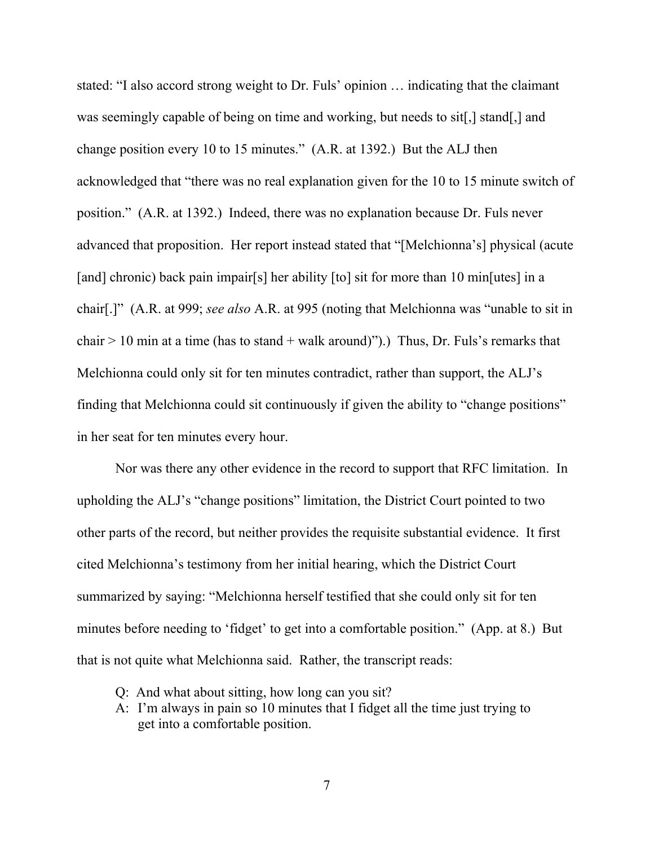stated: "I also accord strong weight to Dr. Fuls' opinion … indicating that the claimant was seemingly capable of being on time and working, but needs to sit[,] stand[,] and change position every 10 to 15 minutes." (A.R. at 1392.) But the ALJ then acknowledged that "there was no real explanation given for the 10 to 15 minute switch of position." (A.R. at 1392.) Indeed, there was no explanation because Dr. Fuls never advanced that proposition. Her report instead stated that "[Melchionna's] physical (acute [and] chronic) back pain impair[s] her ability [to] sit for more than 10 min[utes] in a chair[.]" (A.R. at 999; *see also* A.R. at 995 (noting that Melchionna was "unable to sit in chair  $> 10$  min at a time (has to stand + walk around)").) Thus, Dr. Fuls's remarks that Melchionna could only sit for ten minutes contradict, rather than support, the ALJ's finding that Melchionna could sit continuously if given the ability to "change positions" in her seat for ten minutes every hour.

Nor was there any other evidence in the record to support that RFC limitation. In upholding the ALJ's "change positions" limitation, the District Court pointed to two other parts of the record, but neither provides the requisite substantial evidence. It first cited Melchionna's testimony from her initial hearing, which the District Court summarized by saying: "Melchionna herself testified that she could only sit for ten minutes before needing to 'fidget' to get into a comfortable position." (App. at 8.) But that is not quite what Melchionna said. Rather, the transcript reads:

- Q: And what about sitting, how long can you sit?
- A: I'm always in pain so 10 minutes that I fidget all the time just trying to get into a comfortable position.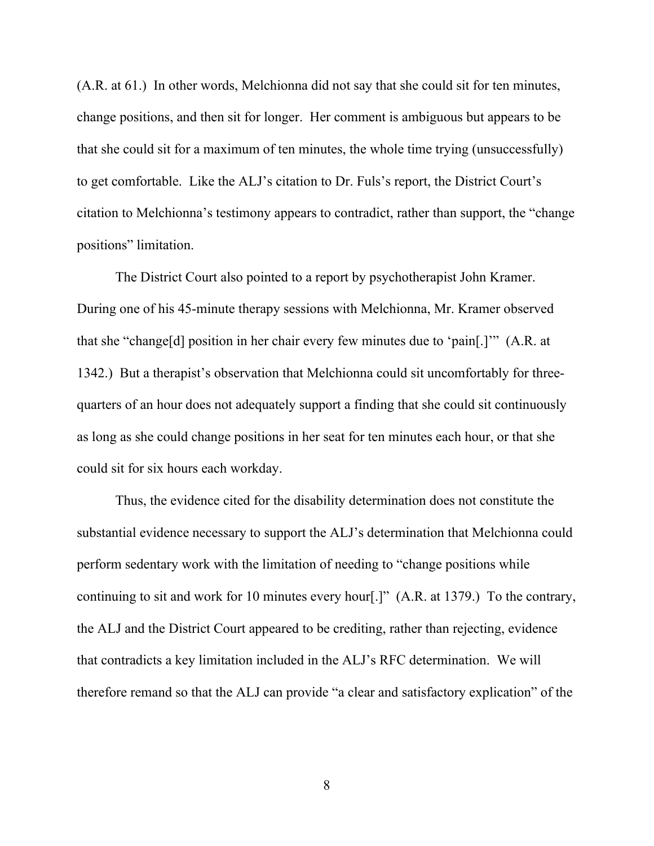(A.R. at 61.) In other words, Melchionna did not say that she could sit for ten minutes, change positions, and then sit for longer. Her comment is ambiguous but appears to be that she could sit for a maximum of ten minutes, the whole time trying (unsuccessfully) to get comfortable. Like the ALJ's citation to Dr. Fuls's report, the District Court's citation to Melchionna's testimony appears to contradict, rather than support, the "change positions" limitation.

The District Court also pointed to a report by psychotherapist John Kramer. During one of his 45-minute therapy sessions with Melchionna, Mr. Kramer observed that she "change[d] position in her chair every few minutes due to 'pain[.]'" (A.R. at 1342.) But a therapist's observation that Melchionna could sit uncomfortably for threequarters of an hour does not adequately support a finding that she could sit continuously as long as she could change positions in her seat for ten minutes each hour, or that she could sit for six hours each workday.

Thus, the evidence cited for the disability determination does not constitute the substantial evidence necessary to support the ALJ's determination that Melchionna could perform sedentary work with the limitation of needing to "change positions while continuing to sit and work for 10 minutes every hour[.]" (A.R. at 1379.) To the contrary, the ALJ and the District Court appeared to be crediting, rather than rejecting, evidence that contradicts a key limitation included in the ALJ's RFC determination. We will therefore remand so that the ALJ can provide "a clear and satisfactory explication" of the

8